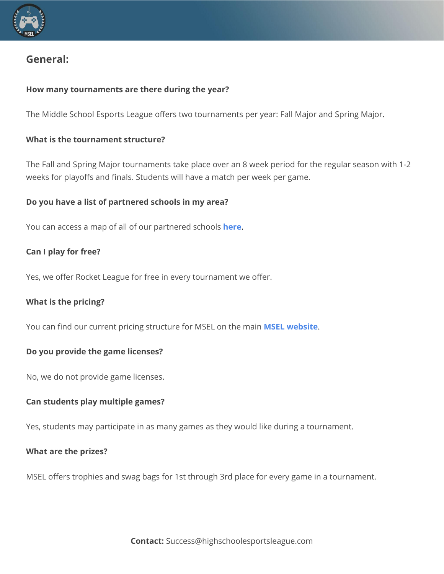

# **General:**

# **How many tournaments are there during the year?**

The Middle School Esports League offers two tournaments per year: Fall Major and Spring Major.

# **What is the tournament structure?**

The Fall and Spring Major tournaments take place over an 8 week period for the regular season with 1-2 weeks for playoffs and finals. Students will have a match per week per game.

# **Do you have a list of partnered schools in my area?**

You can access a map of all of our partnered schools **[here](https://www.google.com/maps/d/viewer?mid=15MiGCoXbcxiDy_Nfqtl2dJU2AOC9IMGm&hl=en&ll=40.4902049599829%2C-96.97328057015505&z=3)**.

# **Can I play for free?**

Yes, we offer Rocket League for free in every tournament we offer.

# **What is the pricing?**

You can find our current pricing structure for MSEL on the main **MSEL [website](https://middleschoolesports.com/)**.

# **Do you provide the game licenses?**

No, we do not provide game licenses.

# **Can students play multiple games?**

Yes, students may participate in as many games as they would like during a tournament.

# **What are the prizes?**

MSEL offers trophies and swag bags for 1st through 3rd place for every game in a tournament.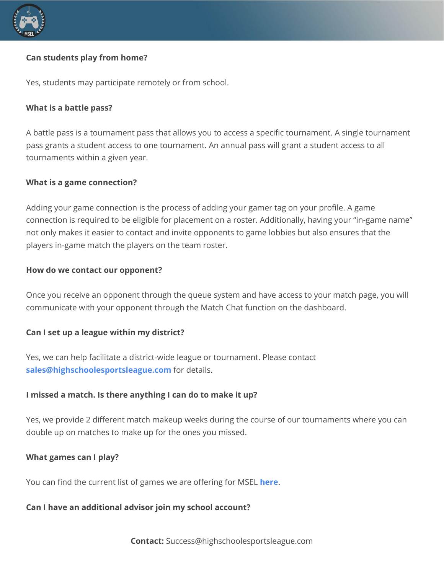

# **Can students play from home?**

Yes, students may participate remotely or from school.

# **What is a battle pass?**

A battle pass is a tournament pass that allows you to access a specific tournament. A single tournament pass grants a student access to one tournament. An annual pass will grant a student access to all tournaments within a given year.

#### **What is a game connection?**

Adding your game connection is the process of adding your gamer tag on your profile. A game connection is required to be eligible for placement on a roster. Additionally, having your "in-game name" not only makes it easier to contact and invite opponents to game lobbies but also ensures that the players in-game match the players on the team roster.

#### **How do we contact our opponent?**

Once you receive an opponent through the queue system and have access to your match page, you will communicate with your opponent through the Match Chat function on the dashboard.

# **Can I set up a league within my district?**

Yes, we can help facilitate a district-wide league or tournament. Please contact **[sales@highschoolesportsleague.com](mailto:sales@highschoolesportsleague.com)** for details.

# **I missed a match. Is there anything I can do to make it up?**

Yes, we provide 2 different match makeup weeks during the course of our tournaments where you can double up on matches to make up for the ones you missed.

# **What games can I play?**

You can find the current list of games we are offering for MSEL **[here](https://middleschoolesports.com/game-summaries)**.

#### **Can I have an additional advisor join my school account?**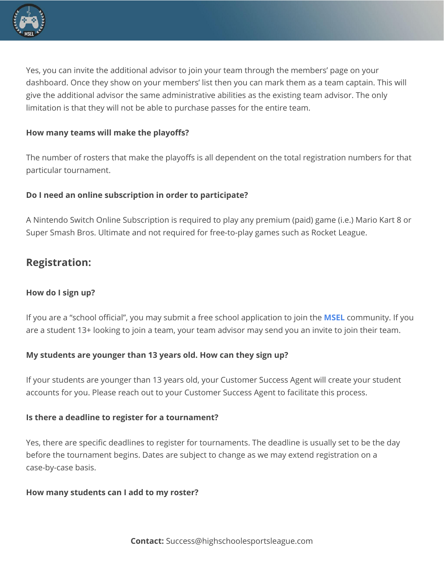

Yes, you can invite the additional advisor to join your team through the members' page on your dashboard. Once they show on your members' list then you can mark them as a team captain. This will give the additional advisor the same administrative abilities as the existing team advisor. The only limitation is that they will not be able to purchase passes for the entire team.

# **How many teams will make the playoffs?**

The number of rosters that make the playoffs is all dependent on the total registration numbers for that particular tournament.

# **Do I need an online subscription in order to participate?**

A Nintendo Switch Online Subscription is required to play any premium (paid) game (i.e.) Mario Kart 8 or Super Smash Bros. Ultimate and not required for free-to-play games such as Rocket League.

# **Registration:**

# **How do I sign up?**

If you are a "school official", you may submit a free school application to join the **[MSEL](https://app.generationesports.com/community/4?new-user=true)** community. If you are a student 13+ looking to join a team, your team advisor may send you an invite to join their team.

# **My students are younger than 13 years old. How can they sign up?**

If your students are younger than 13 years old, your Customer Success Agent will create your student accounts for you. Please reach out to your Customer Success Agent to facilitate this process.

# **Is there a deadline to register for a tournament?**

Yes, there are specific deadlines to register for tournaments. The deadline is usually set to be the day before the tournament begins. Dates are subject to change as we may extend registration on a case-by-case basis.

# **How many students can I add to my roster?**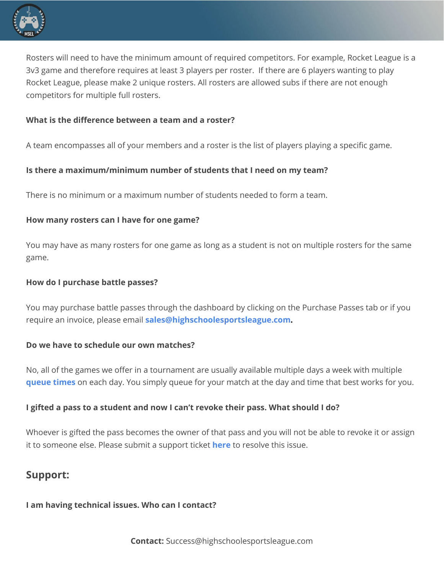

Rosters will need to have the minimum amount of required competitors. For example, Rocket League is a 3v3 game and therefore requires at least 3 players per roster. If there are 6 players wanting to play Rocket League, please make 2 unique rosters. All rosters are allowed subs if there are not enough competitors for multiple full rosters.

# **What is the difference between a team and a roster?**

A team encompasses all of your members and a roster is the list of players playing a specific game.

# **Is there a maximum/minimum number of students that I need on my team?**

There is no minimum or a maximum number of students needed to form a team.

# **How many rosters can I have for one game?**

You may have as many rosters for one game as long as a student is not on multiple rosters for the same game.

# **How do I purchase battle passes?**

You may purchase battle passes through the dashboard by clicking on the Purchase Passes tab or if you require an invoice, please email **[sales@highschoolesportsleague.com.](mailto:sales@highschoolesportsleague.com)**

# **Do we have to schedule our own matches?**

No, all of the games we offer in a tournament are usually available multiple days a week with multiple **[queue](https://help.highschoolesportsleague.com/hc/en-us/articles/360040917472-How-To-Use-Our-Queue-System-and-Match-Page) times** on each day. You simply queue for your match at the day and time that best works for you.

# **I gifted a pass to a student and now I can't revoke their pass. What should I do?**

Whoever is gifted the pass becomes the owner of that pass and you will not be able to revoke it or assign it to someone else. Please submit a support ticket **[here](https://help.generationesports.com/hc/en-us/requests/new)** to resolve this issue.

# **Support:**

# **I am having technical issues. Who can I contact?**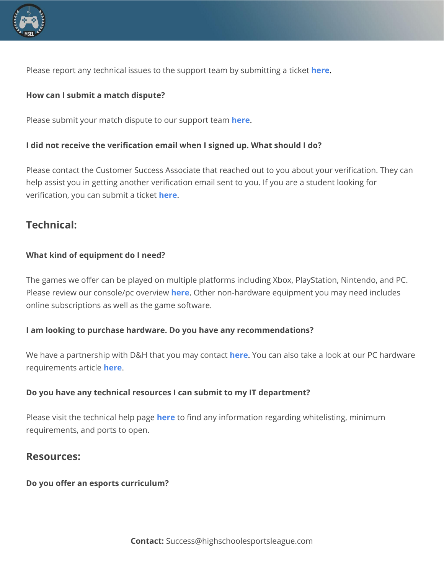

Please report any technical issues to the support team by submitting a ticket **[here](https://help.generationesports.com/hc/en-us/requests/new)**.

# **How can I submit a match dispute?**

Please submit your match dispute to our support team **[here](https://help.generationesports.com/hc/en-us/requests/new)**.

# **I did not receive the verification email when I signed up. What should I do?**

Please contact the Customer Success Associate that reached out to you about your verification. They can help assist you in getting another verification email sent to you. If you are a student looking for verification, you can submit a ticket **[here](https://help.generationesports.com/hc/en-us/requests/new)**.

# **Technical:**

# **What kind of equipment do I need?**

The games we offer can be played on multiple platforms including Xbox, PlayStation, Nintendo, and PC. Please review our console/pc overview **[here](https://help.generationesports.com/hc/en-us/articles/360060420072-Console-PC-Overview)**. Other non-hardware equipment you may need includes online subscriptions as well as the game software.

# **I am looking to purchase hardware. Do you have any recommendations?**

We have a partnership with D&H that you may contact **[here](https://www.highschoolesportsleague.com/dh-discount-page)**. You can also take a look at our PC hardware requirements article **[here](https://help.generationesports.com/hc/en-us/articles/360061115671-PC-System-Requirements-Minimum-Recommended)**.

# **Do you have any technical resources I can submit to my IT department?**

Please visit the technical help page **[here](https://help.generationesports.com/hc/en-us/sections/360013511371-Technical-Help)** to find any information regarding whitelisting, minimum requirements, and ports to open.

# **Resources:**

# **Do you offer an esports curriculum?**